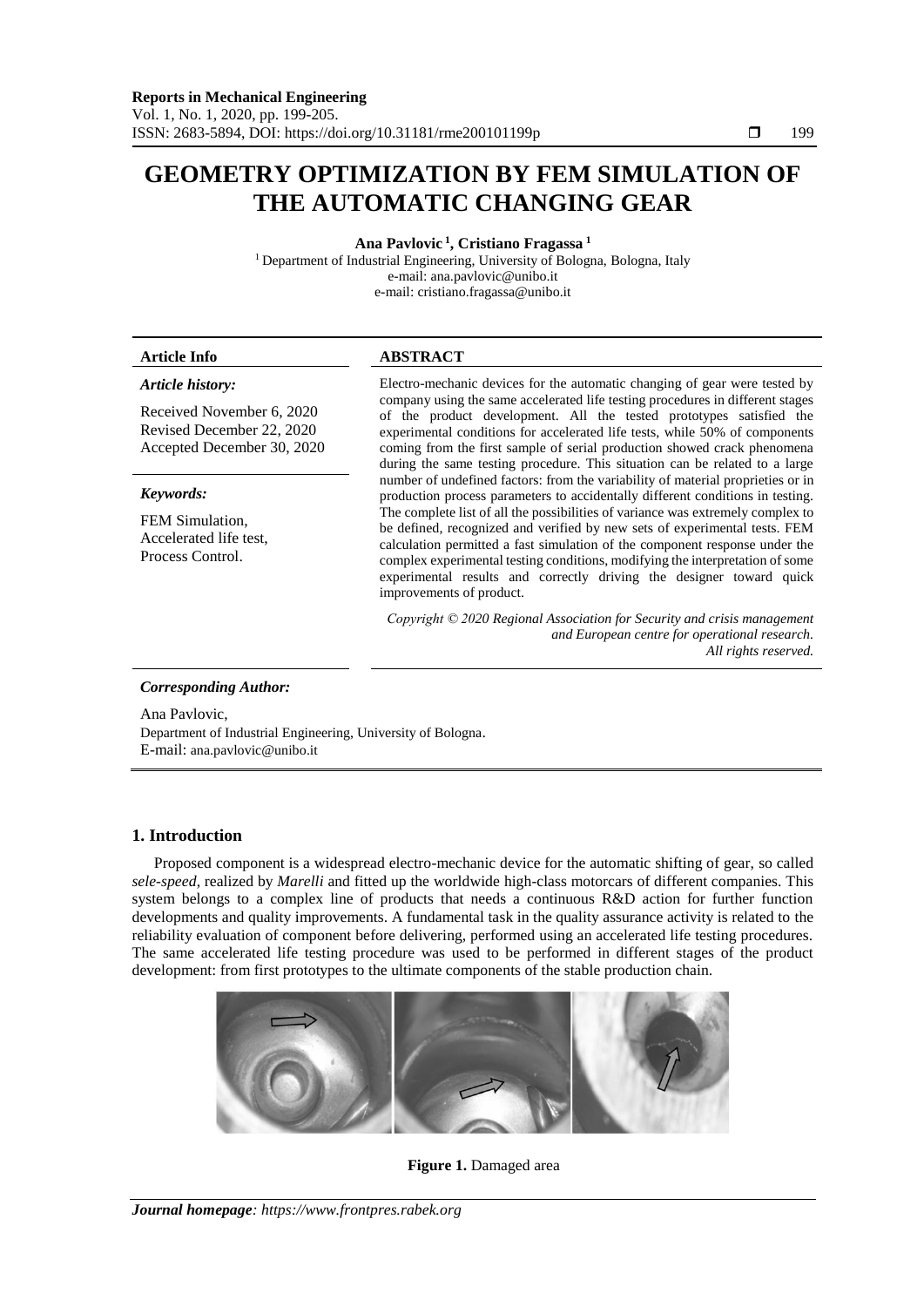# **GEOMETRY OPTIMIZATION BY FEM SIMULATION OF THE AUTOMATIC CHANGING GEAR**

**Ana Pavlovic <sup>1</sup> , Cristiano Fragassa <sup>1</sup>**

<sup>1</sup> Department of Industrial Engineering, University of Bologna, Bologna, Italy e-mail: ana.pavlovic@unibo.it

e-mail: cristiano.fragassa@unibo.it

### *Article history:*

Received November 6, 2020 Revised December 22, 2020 Accepted December 30, 2020

# *Keywords:*

FEM Simulation, Accelerated life test, Process Control.

# **Article Info ABSTRACT**

Electro-mechanic devices for the automatic changing of gear were tested by company using the same accelerated life testing procedures in different stages of the product development. All the tested prototypes satisfied the experimental conditions for accelerated life tests, while 50% of components coming from the first sample of serial production showed crack phenomena during the same testing procedure. This situation can be related to a large number of undefined factors: from the variability of material proprieties or in production process parameters to accidentally different conditions in testing. The complete list of all the possibilities of variance was extremely complex to be defined, recognized and verified by new sets of experimental tests. FEM calculation permitted a fast simulation of the component response under the complex experimental testing conditions, modifying the interpretation of some experimental results and correctly driving the designer toward quick improvements of product.

*Copyright © 2020 Regional Association for Security and crisis management and European centre for operational research. All rights reserved.*

# *Corresponding Author:*

Ana Pavlovic, Department of Industrial Engineering, University of Bologna. E-mail: ana.pavlovic@unibo.it

# **1. Introduction**

Proposed component is a widespread electro-mechanic device for the automatic shifting of gear, so called *sele-speed*, realized by *Marelli* and fitted up the worldwide high-class motorcars of different companies. This system belongs to a complex line of products that needs a continuous R&D action for further function developments and quality improvements. A fundamental task in the quality assurance activity is related to the reliability evaluation of component before delivering, performed using an accelerated life testing procedures. The same accelerated life testing procedure was used to be performed in different stages of the product development: from first prototypes to the ultimate components of the stable production chain.



# **Figure 1.** Damaged area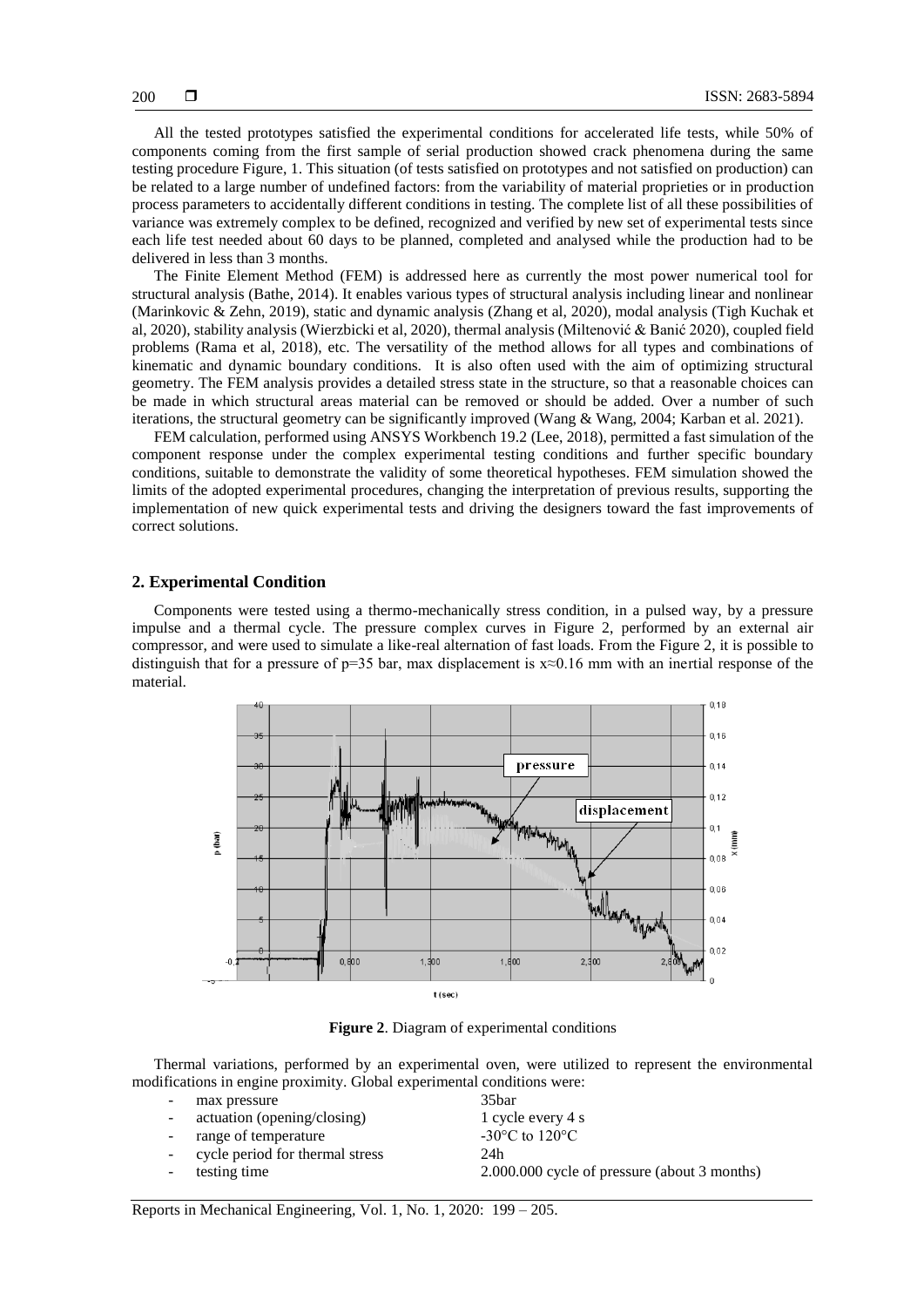All the tested prototypes satisfied the experimental conditions for accelerated life tests, while 50% of components coming from the first sample of serial production showed crack phenomena during the same testing procedure Figure, 1. This situation (of tests satisfied on prototypes and not satisfied on production) can be related to a large number of undefined factors: from the variability of material proprieties or in production process parameters to accidentally different conditions in testing. The complete list of all these possibilities of variance was extremely complex to be defined, recognized and verified by new set of experimental tests since each life test needed about 60 days to be planned, completed and analysed while the production had to be delivered in less than 3 months.

The Finite Element Method (FEM) is addressed here as currently the most power numerical tool for structural analysis (Bathe, 2014). It enables various types of structural analysis including linear and nonlinear (Marinkovic & Zehn, 2019), static and dynamic analysis (Zhang et al, 2020), modal analysis (Tigh Kuchak et al, 2020), stability analysis (Wierzbicki et al, 2020), thermal analysis (Miltenović & Banić 2020), coupled field problems (Rama et al, 2018), etc. The versatility of the method allows for all types and combinations of kinematic and dynamic boundary conditions. It is also often used with the aim of optimizing structural geometry. The FEM analysis provides a detailed stress state in the structure, so that a reasonable choices can be made in which structural areas material can be removed or should be added. Over a number of such iterations, the structural geometry can be significantly improved (Wang & Wang, 2004; Karban et al. 2021).

FEM calculation, performed using ANSYS Workbench 19.2 (Lee, 2018), permitted a fast simulation of the component response under the complex experimental testing conditions and further specific boundary conditions, suitable to demonstrate the validity of some theoretical hypotheses. FEM simulation showed the limits of the adopted experimental procedures, changing the interpretation of previous results, supporting the implementation of new quick experimental tests and driving the designers toward the fast improvements of correct solutions.

#### **2. Experimental Condition**

Components were tested using a thermo-mechanically stress condition, in a pulsed way, by a pressure impulse and a thermal cycle. The pressure complex curves in Figure 2, performed by an external air compressor, and were used to simulate a like-real alternation of fast loads. From the Figure 2, it is possible to distinguish that for a pressure of  $p=35$  bar, max displacement is  $x\approx 0.16$  mm with an inertial response of the material.



**Figure 2**. Diagram of experimental conditions

Thermal variations, performed by an experimental oven, were utilized to represent the environmental modifications in engine proximity. Global experimental conditions were:

| н.     | max pressure                      | 35 <sub>bar</sub>                            |
|--------|-----------------------------------|----------------------------------------------|
| $\sim$ | actuation (opening/closing)       | 1 cycle every 4 s                            |
| $\sim$ | range of temperature              | -30 $\rm{^{\circ}C}$ to 120 $\rm{^{\circ}C}$ |
|        | - cycle period for thermal stress | 24h                                          |
|        | testing time                      | 2.000.000 cycle of pressure (about 3 months) |
|        |                                   |                                              |

Reports in Mechanical Engineering*,* Vol. 1, No. 1, 2020: 199 – 205.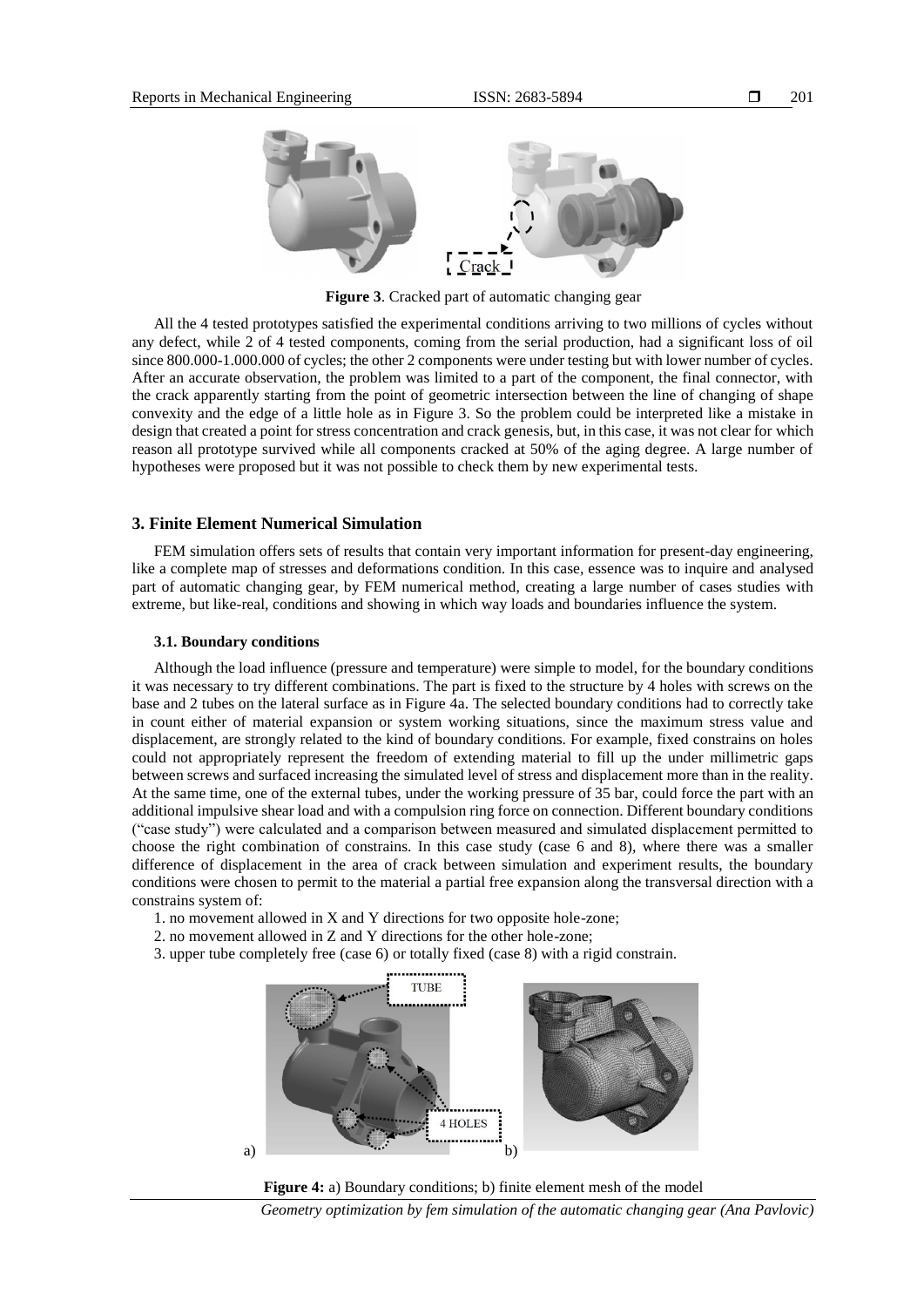

**Figure 3**. Cracked part of automatic changing gear

All the 4 tested prototypes satisfied the experimental conditions arriving to two millions of cycles without any defect, while 2 of 4 tested components, coming from the serial production, had a significant loss of oil since 800.000-1.000.000 of cycles; the other 2 components were under testing but with lower number of cycles. After an accurate observation, the problem was limited to a part of the component, the final connector, with the crack apparently starting from the point of geometric intersection between the line of changing of shape convexity and the edge of a little hole as in Figure 3. So the problem could be interpreted like a mistake in design that created a point for stress concentration and crack genesis, but, in this case, it was not clear for which reason all prototype survived while all components cracked at 50% of the aging degree. A large number of hypotheses were proposed but it was not possible to check them by new experimental tests.

# **3. Finite Element Numerical Simulation**

FEM simulation offers sets of results that contain very important information for present-day engineering, like a complete map of stresses and deformations condition. In this case, essence was to inquire and analysed part of automatic changing gear, by FEM numerical method, creating a large number of cases studies with extreme, but like-real, conditions and showing in which way loads and boundaries influence the system.

# **3.1. Boundary conditions**

Although the load influence (pressure and temperature) were simple to model, for the boundary conditions it was necessary to try different combinations. The part is fixed to the structure by 4 holes with screws on the base and 2 tubes on the lateral surface as in Figure 4a. The selected boundary conditions had to correctly take in count either of material expansion or system working situations, since the maximum stress value and displacement, are strongly related to the kind of boundary conditions. For example, fixed constrains on holes could not appropriately represent the freedom of extending material to fill up the under millimetric gaps between screws and surfaced increasing the simulated level of stress and displacement more than in the reality. At the same time, one of the external tubes, under the working pressure of 35 bar, could force the part with an additional impulsive shear load and with a compulsion ring force on connection. Different boundary conditions ("case study") were calculated and a comparison between measured and simulated displacement permitted to choose the right combination of constrains. In this case study (case 6 and 8), where there was a smaller difference of displacement in the area of crack between simulation and experiment results, the boundary conditions were chosen to permit to the material a partial free expansion along the transversal direction with a constrains system of:

- 1. no movement allowed in X and Y directions for two opposite hole-zone;
- 2. no movement allowed in Z and Y directions for the other hole-zone;
- 3. upper tube completely free (case 6) or totally fixed (case 8) with a rigid constrain.





*Geometry optimization by fem simulation of the automatic changing gear (Ana Pavlovic)*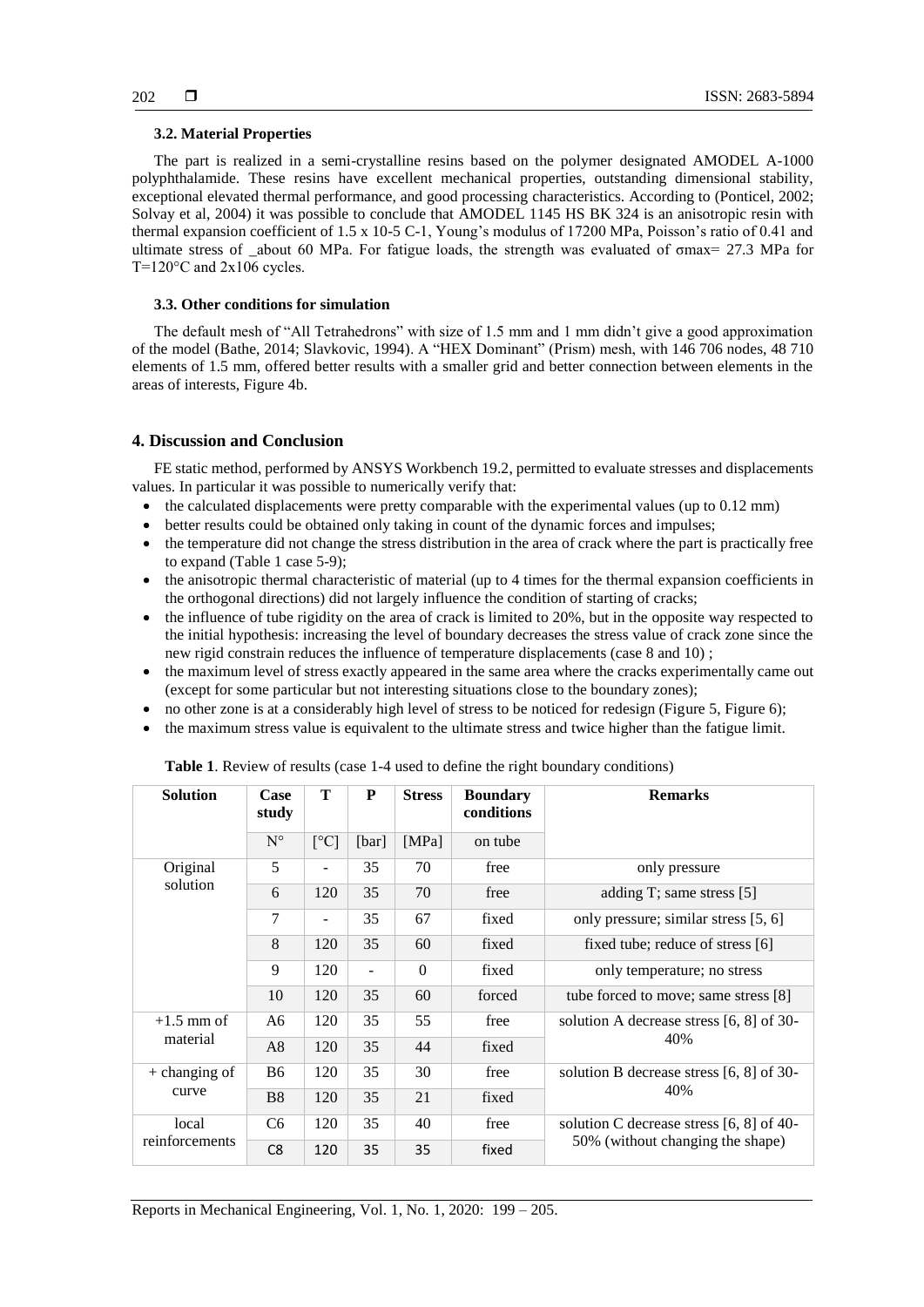### **3.2. Material Properties**

The part is realized in a semi-crystalline resins based on the polymer designated AMODEL A-1000 polyphthalamide. These resins have excellent mechanical properties, outstanding dimensional stability, exceptional elevated thermal performance, and good processing characteristics. According to (Ponticel, 2002; Solvay et al, 2004) it was possible to conclude that AMODEL 1145 HS BK 324 is an anisotropic resin with thermal expansion coefficient of 1.5 x 10-5 C-1, Young's modulus of 17200 MPa, Poisson's ratio of 0.41 and ultimate stress of \_about 60 MPa. For fatigue loads, the strength was evaluated of σmax= 27.3 MPa for T=120°C and 2x106 cycles.

### **3.3. Other conditions for simulation**

The default mesh of "All Tetrahedrons" with size of 1.5 mm and 1 mm didn't give a good approximation of the model (Bathe, 2014; Slavkovic, 1994). A "HEX Dominant" (Prism) mesh, with 146 706 nodes, 48 710 elements of 1.5 mm, offered better results with a smaller grid and better connection between elements in the areas of interests, Figure 4b.

# **4. Discussion and Conclusion**

FE static method, performed by ANSYS Workbench 19.2, permitted to evaluate stresses and displacements values. In particular it was possible to numerically verify that:

- $\bullet$  the calculated displacements were pretty comparable with the experimental values (up to 0.12 mm)
- better results could be obtained only taking in count of the dynamic forces and impulses;
- the temperature did not change the stress distribution in the area of crack where the part is practically free to expand (Table 1 case 5-9);
- the anisotropic thermal characteristic of material (up to 4 times for the thermal expansion coefficients in the orthogonal directions) did not largely influence the condition of starting of cracks;
- the influence of tube rigidity on the area of crack is limited to 20%, but in the opposite way respected to the initial hypothesis: increasing the level of boundary decreases the stress value of crack zone since the new rigid constrain reduces the influence of temperature displacements (case 8 and 10) ;
- the maximum level of stress exactly appeared in the same area where the cracks experimentally came out (except for some particular but not interesting situations close to the boundary zones);
- no other zone is at a considerably high level of stress to be noticed for redesign (Figure 5, Figure 6);
- the maximum stress value is equivalent to the ultimate stress and twice higher than the fatigue limit.

| Table 1. Review of results (case 1-4 used to define the right boundary conditions) |  |  |  |
|------------------------------------------------------------------------------------|--|--|--|
|------------------------------------------------------------------------------------|--|--|--|

| <b>Solution</b> | Case<br>study  | T                        | P     | <b>Stress</b> | <b>Boundary</b><br>conditions | <b>Remarks</b>                                    |
|-----------------|----------------|--------------------------|-------|---------------|-------------------------------|---------------------------------------------------|
|                 | $N^{\circ}$    | $\lceil$ °C]             | [bar] | [MPa]         | on tube                       |                                                   |
| Original        | 5              |                          | 35    | 70            | free                          | only pressure                                     |
| solution        | 6              | 120                      | 35    | 70            | free                          | adding T; same stress [5]                         |
|                 | 7              | $\overline{\phantom{0}}$ | 35    | 67            | fixed                         | only pressure; similar stress [5, 6]              |
|                 | 8              | 120                      | 35    | 60            | fixed                         | fixed tube; reduce of stress [6]                  |
|                 | 9              | 120                      |       | $\Omega$      | fixed                         | only temperature; no stress                       |
|                 | 10             | 120                      | 35    | 60            | forced                        | tube forced to move; same stress [8]              |
| $+1.5$ mm of    | A6             | 120                      | 35    | 55            | free                          | solution A decrease stress $[6, 8]$ of 30-<br>40% |
| material        | A8             | 120                      | 35    | 44            | fixed                         |                                                   |
| $+$ changing of | <b>B6</b>      | 120                      | 35    | 30            | free                          | solution B decrease stress [6, 8] of 30-<br>40%   |
| curve           | <b>B8</b>      | 120                      | 35    | 21            | fixed                         |                                                   |
| local           | C <sub>6</sub> | 120                      | 35    | 40            | free                          | solution C decrease stress $[6, 8]$ of 40-        |
| reinforcements  | C8             | 120                      | 35    | 35            | fixed                         | 50% (without changing the shape)                  |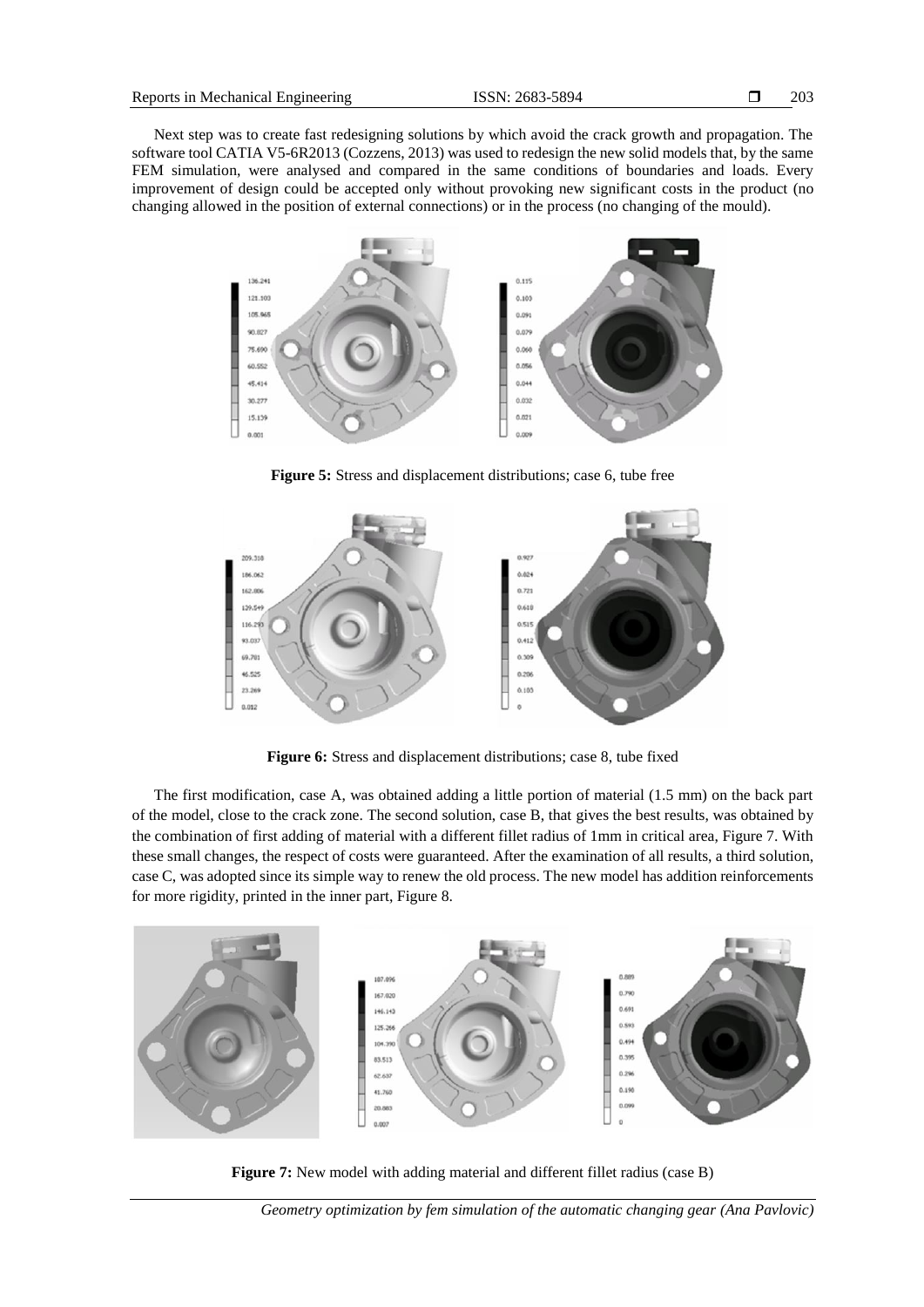Next step was to create fast redesigning solutions by which avoid the crack growth and propagation. The software tool CATIA V5-6R2013 (Cozzens, 2013) was used to redesign the new solid models that, by the same FEM simulation, were analysed and compared in the same conditions of boundaries and loads. Every improvement of design could be accepted only without provoking new significant costs in the product (no changing allowed in the position of external connections) or in the process (no changing of the mould).



**Figure 5:** Stress and displacement distributions; case 6, tube free



**Figure 6:** Stress and displacement distributions; case 8, tube fixed

The first modification, case A, was obtained adding a little portion of material (1.5 mm) on the back part of the model, close to the crack zone. The second solution, case B, that gives the best results, was obtained by the combination of first adding of material with a different fillet radius of 1mm in critical area, Figure 7. With these small changes, the respect of costs were guaranteed. After the examination of all results, a third solution, case C, was adopted since its simple way to renew the old process. The new model has addition reinforcements for more rigidity, printed in the inner part, Figure 8.



**Figure 7:** New model with adding material and different fillet radius (case B)

*Geometry optimization by fem simulation of the automatic changing gear (Ana Pavlovic)*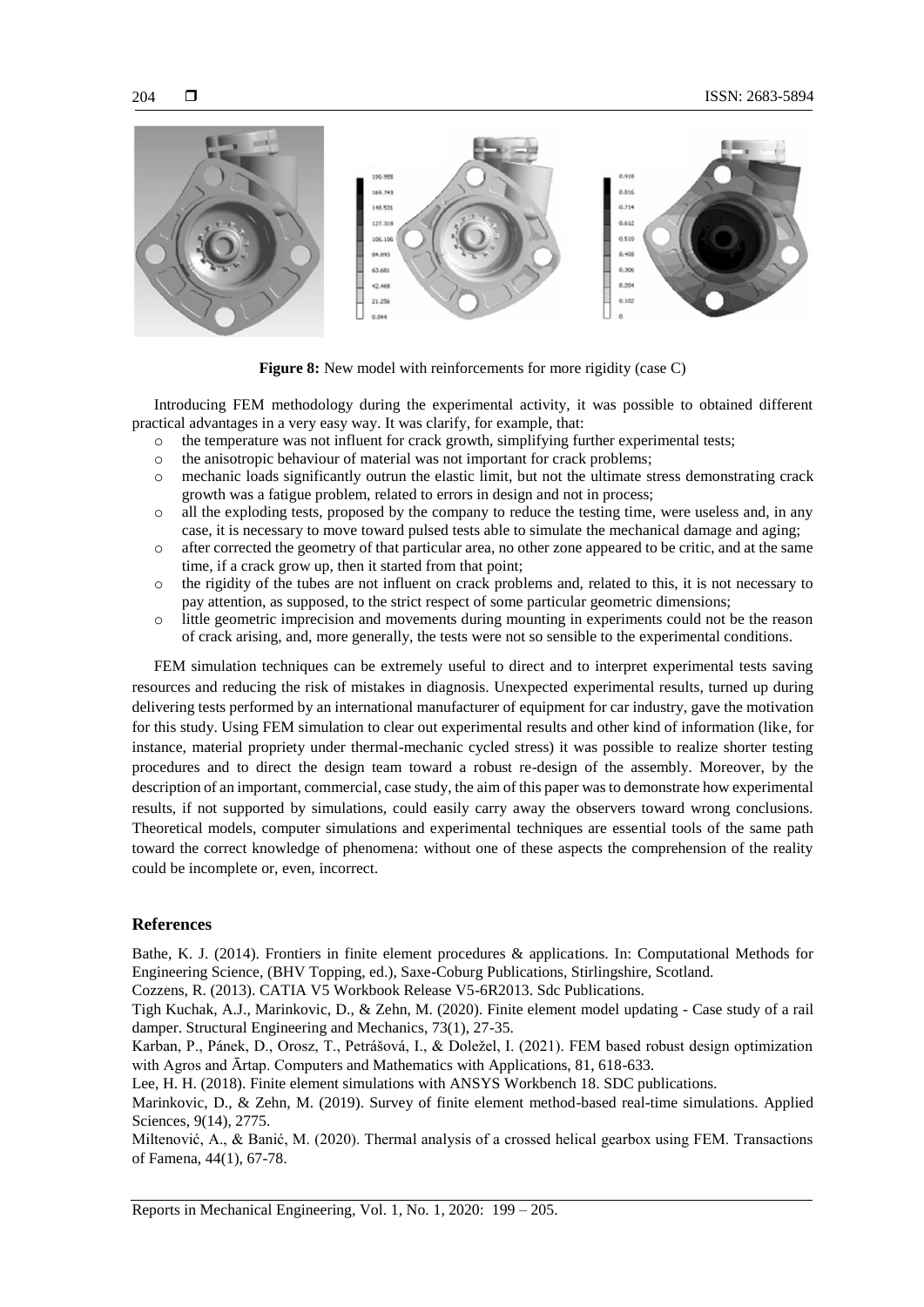

**Figure 8:** New model with reinforcements for more rigidity (case C)

Introducing FEM methodology during the experimental activity, it was possible to obtained different practical advantages in a very easy way. It was clarify, for example, that:

- o the temperature was not influent for crack growth, simplifying further experimental tests;
- o the anisotropic behaviour of material was not important for crack problems;
- o mechanic loads significantly outrun the elastic limit, but not the ultimate stress demonstrating crack growth was a fatigue problem, related to errors in design and not in process;
- o all the exploding tests, proposed by the company to reduce the testing time, were useless and, in any case, it is necessary to move toward pulsed tests able to simulate the mechanical damage and aging;
- o after corrected the geometry of that particular area, no other zone appeared to be critic, and at the same time, if a crack grow up, then it started from that point;
- o the rigidity of the tubes are not influent on crack problems and, related to this, it is not necessary to pay attention, as supposed, to the strict respect of some particular geometric dimensions;
- o little geometric imprecision and movements during mounting in experiments could not be the reason of crack arising, and, more generally, the tests were not so sensible to the experimental conditions.

FEM simulation techniques can be extremely useful to direct and to interpret experimental tests saving resources and reducing the risk of mistakes in diagnosis. Unexpected experimental results, turned up during delivering tests performed by an international manufacturer of equipment for car industry, gave the motivation for this study. Using FEM simulation to clear out experimental results and other kind of information (like, for instance, material propriety under thermal-mechanic cycled stress) it was possible to realize shorter testing procedures and to direct the design team toward a robust re-design of the assembly. Moreover, by the description of an important, commercial, case study, the aim of this paper was to demonstrate how experimental results, if not supported by simulations, could easily carry away the observers toward wrong conclusions. Theoretical models, computer simulations and experimental techniques are essential tools of the same path toward the correct knowledge of phenomena: without one of these aspects the comprehension of the reality could be incomplete or, even, incorrect.

# **References**

Bathe, K. J. (2014). Frontiers in finite element procedures & applications. In: Computational Methods for Engineering Science, (BHV Topping, ed.), Saxe-Coburg Publications, Stirlingshire, Scotland.

Cozzens, R. (2013). CATIA V5 Workbook Release V5-6R2013. Sdc Publications.

Tigh Kuchak, A.J., Marinkovic, D., & Zehn, M. (2020). Finite element model updating - Case study of a rail damper. Structural Engineering and Mechanics, 73(1), 27-35.

Karban, P., Pánek, D., Orosz, T., Petrášová, I., & Doležel, I. (2021). FEM based robust design optimization with Agros and Ārtap. Computers and Mathematics with Applications, 81, 618-633.

Lee, H. H. (2018). Finite element simulations with ANSYS Workbench 18. SDC publications.

Marinkovic, D., & Zehn, M. (2019). Survey of finite element method-based real-time simulations. Applied Sciences, 9(14), 2775.

Miltenović, A., & Banić, M. (2020). Thermal analysis of a crossed helical gearbox using FEM. Transactions of Famena, 44(1), 67-78.